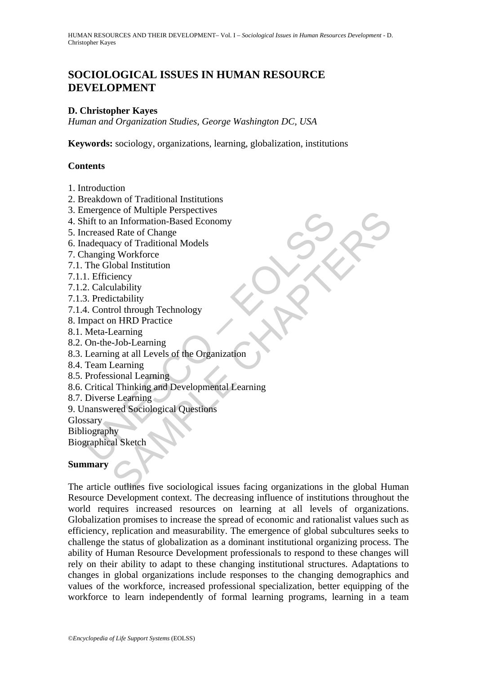## **SOCIOLOGICAL ISSUES IN HUMAN RESOURCE DEVELOPMENT**

## **D. Christopher Kayes**

*Human and Organization Studies, George Washington DC, USA* 

**Keywords:** sociology, organizations, learning, globalization, institutions

## **Contents**

- 1. Introduction
- 2. Breakdown of Traditional Institutions
- 3. Emergence of Multiple Perspectives
- 4. Shift to an Information-Based Economy
- 5. Increased Rate of Change
- 6. Inadequacy of Traditional Models
- 7. Changing Workforce
- 7.1. The Global Institution
- 7.1.1. Efficiency
- 7.1.2. Calculability
- 7.1.3. Predictability
- 7.1.4. Control through Technology
- 8. Impact on HRD Practice
- 8.1. Meta-Learning
- 8.2. On-the-Job-Learning
- 8.3. Learning at all Levels of the Organization
- 8.4. Team Learning
- 8.5. Professional Learning
- mergience of Multiple Perspectives<br>
infit to an Information-Based Economy<br>
increased Rate of Change<br>
nadequacy of Traditional Models<br>
hanging Workforce<br>
The Global Institution<br>
1. Efficiency<br>
2. Calculability<br>
3. Predictab 8.6. Critical Thinking and Developmental Learning
- 8.7. Diverse Learning
- 9. Unanswered Sociological Questions
- Glossary
- Bibliography
- Biographical Sketch

## **Summary**

nce of Multiple Perspectives<br>
an Information-Based Economy<br>
d Rate of Change<br>
acy of Traditional Models<br>
g Workforce<br>
Lobal Institution<br>
iency<br>
Lobal Learning<br>
m HRD Practic<br>
carning<br>
mg at all Levels of the Organization<br> The article outlines five sociological issues facing organizations in the global Human Resource Development context. The decreasing influence of institutions throughout the world requires increased resources on learning at all levels of organizations. Globalization promises to increase the spread of economic and rationalist values such as efficiency, replication and measurability. The emergence of global subcultures seeks to challenge the status of globalization as a dominant institutional organizing process. The ability of Human Resource Development professionals to respond to these changes will rely on their ability to adapt to these changing institutional structures. Adaptations to changes in global organizations include responses to the changing demographics and values of the workforce, increased professional specialization, better equipping of the workforce to learn independently of formal learning programs, learning in a team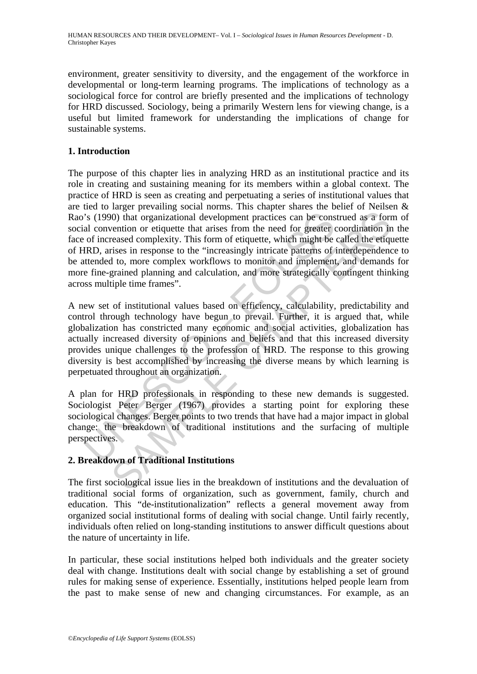environment, greater sensitivity to diversity, and the engagement of the workforce in developmental or long-term learning programs. The implications of technology as a sociological force for control are briefly presented and the implications of technology for HRD discussed. Sociology, being a primarily Western lens for viewing change, is a useful but limited framework for understanding the implications of change for sustainable systems.

## **1. Introduction**

's (1990) that organizational development practices can be consained convention or etiquette that arises from the need for greater of increased complexity. This form of etiquette, which might be IRD, arises in response to (a)) that organizational development practices can be construed as a formetion or etiquette that arises from the need for greater coordination in the secessed complexity. This form of etiquette, which might be called the e The purpose of this chapter lies in analyzing HRD as an institutional practice and its role in creating and sustaining meaning for its members within a global context. The practice of HRD is seen as creating and perpetuating a series of institutional values that are tied to larger prevailing social norms. This chapter shares the belief of Neilsen & Rao's (1990) that organizational development practices can be construed as a form of social convention or etiquette that arises from the need for greater coordination in the face of increased complexity. This form of etiquette, which might be called the etiquette of HRD, arises in response to the "increasingly intricate patterns of interdependence to be attended to, more complex workflows to monitor and implement, and demands for more fine-grained planning and calculation, and more strategically contingent thinking across multiple time frames".

A new set of institutional values based on efficiency, calculability, predictability and control through technology have begun to prevail. Further, it is argued that, while globalization has constricted many economic and social activities, globalization has actually increased diversity of opinions and beliefs and that this increased diversity provides unique challenges to the profession of HRD. The response to this growing diversity is best accomplished by increasing the diverse means by which learning is perpetuated throughout an organization.

A plan for HRD professionals in responding to these new demands is suggested. Sociologist Peter Berger (1967) provides a starting point for exploring these sociological changes. Berger points to two trends that have had a major impact in global change: the breakdown of traditional institutions and the surfacing of multiple perspectives.

## **2. Breakdown of Traditional Institutions**

The first sociological issue lies in the breakdown of institutions and the devaluation of traditional social forms of organization, such as government, family, church and education. This "de-institutionalization" reflects a general movement away from organized social institutional forms of dealing with social change. Until fairly recently, individuals often relied on long-standing institutions to answer difficult questions about the nature of uncertainty in life.

In particular, these social institutions helped both individuals and the greater society deal with change. Institutions dealt with social change by establishing a set of ground rules for making sense of experience. Essentially, institutions helped people learn from the past to make sense of new and changing circumstances. For example, as an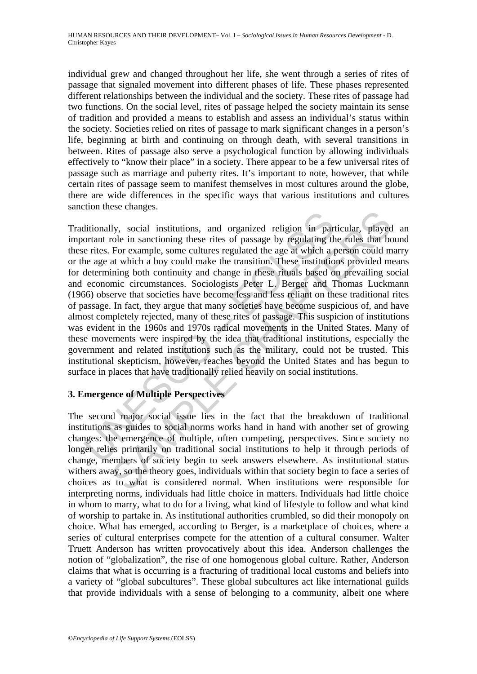individual grew and changed throughout her life, she went through a series of rites of passage that signaled movement into different phases of life. These phases represented different relationships between the individual and the society. These rites of passage had two functions. On the social level, rites of passage helped the society maintain its sense of tradition and provided a means to establish and assess an individual's status within the society. Societies relied on rites of passage to mark significant changes in a person's life, beginning at birth and continuing on through death, with several transitions in between. Rites of passage also serve a psychological function by allowing individuals effectively to "know their place" in a society. There appear to be a few universal rites of passage such as marriage and puberty rites. It's important to note, however, that while certain rites of passage seem to manifest themselves in most cultures around the globe, there are wide differences in the specific ways that various institutions and cultures sanction these changes.

ditionally, social institutions, and organized religion in particular<br>ortant role in sanctioning these rites of passage by regulating the<br>rease For example, some cultures regulated the age at which a p<br>determining both con End institutions, and organized religion in particular, played<br>In sacriangle.<br>Social institutions, and organized religion in particular, played<br>For example, some cultures regulated the age at which a person could m<br>at whic Traditionally, social institutions, and organized religion in particular, played an important role in sanctioning these rites of passage by regulating the rules that bound these rites. For example, some cultures regulated the age at which a person could marry or the age at which a boy could make the transition. These institutions provided means for determining both continuity and change in these rituals based on prevailing social and economic circumstances. Sociologists Peter L. Berger and Thomas Luckmann (1966) observe that societies have become less and less reliant on these traditional rites of passage. In fact, they argue that many societies have become suspicious of, and have almost completely rejected, many of these rites of passage. This suspicion of institutions was evident in the 1960s and 1970s radical movements in the United States. Many of these movements were inspired by the idea that traditional institutions, especially the government and related institutions such as the military, could not be trusted. This institutional skepticism, however, reaches beyond the United States and has begun to surface in places that have traditionally relied heavily on social institutions.

# **3. Emergence of Multiple Perspectives**

The second major social issue lies in the fact that the breakdown of traditional institutions as guides to social norms works hand in hand with another set of growing changes: the emergence of multiple, often competing, perspectives. Since society no longer relies primarily on traditional social institutions to help it through periods of change, members of society begin to seek answers elsewhere. As institutional status withers away, so the theory goes, individuals within that society begin to face a series of choices as to what is considered normal. When institutions were responsible for interpreting norms, individuals had little choice in matters. Individuals had little choice in whom to marry, what to do for a living, what kind of lifestyle to follow and what kind of worship to partake in. As institutional authorities crumbled, so did their monopoly on choice. What has emerged, according to Berger, is a marketplace of choices, where a series of cultural enterprises compete for the attention of a cultural consumer. Walter Truett Anderson has written provocatively about this idea. Anderson challenges the notion of "globalization", the rise of one homogenous global culture. Rather, Anderson claims that what is occurring is a fracturing of traditional local customs and beliefs into a variety of "global subcultures". These global subcultures act like international guilds that provide individuals with a sense of belonging to a community, albeit one where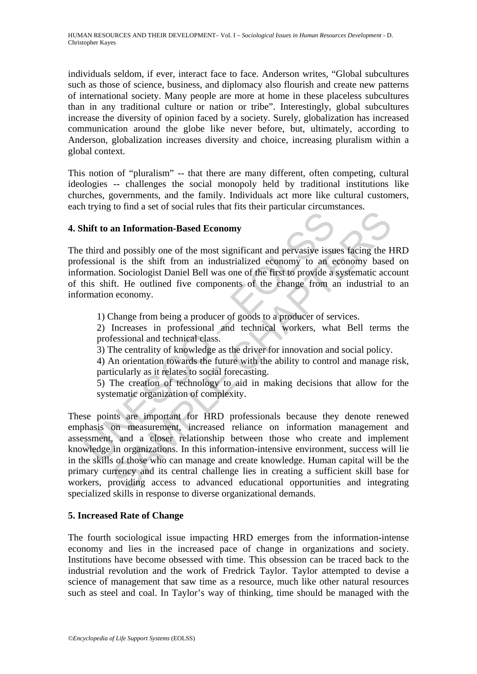HUMAN RESOURCES AND THEIR DEVELOPMENT– Vol. I – *Sociological Issues in Human Resources Development* - D. Christopher Kayes

individuals seldom, if ever, interact face to face. Anderson writes, "Global subcultures such as those of science, business, and diplomacy also flourish and create new patterns of international society. Many people are more at home in these placeless subcultures than in any traditional culture or nation or tribe". Interestingly, global subcultures increase the diversity of opinion faced by a society. Surely, globalization has increased communication around the globe like never before, but, ultimately, according to Anderson, globalization increases diversity and choice, increasing pluralism within a global context.

This notion of "pluralism" -- that there are many different, often competing, cultural ideologies -- challenges the social monopoly held by traditional institutions like churches, governments, and the family. Individuals act more like cultural customers, each trying to find a set of social rules that fits their particular circumstances.

#### **4. Shift to an Information-Based Economy**

**Example 16 an Information-Based Economy**<br>
third **and** possibly one of the most significant and pervasive issue<br>
resistonal is the shift from an industrialized economy to an exergence<br>
termation. Sociologist Daniel Bell wa The third and possibly one of the most significant and pervasive issues facing the HRD professional is the shift from an industrialized economy to an economy based on information. Sociologist Daniel Bell was one of the first to provide a systematic account of this shift. He outlined five components of the change from an industrial to an information economy.

1) Change from being a producer of goods to a producer of services.

2) Increases in professional and technical workers, what Bell terms the professional and technical class.

3) The centrality of knowledge as the driver for innovation and social policy.

4) An orientation towards the future with the ability to control and manage risk, particularly as it relates to social forecasting.

5) The creation of technology to aid in making decisions that allow for the systematic organization of complexity.

an Information-Based Economy<br>an Information-Based Economy<br>and possibly one of the most significant and pervasive issues facing the H<br>al is the shift from an industrialized economy to an economy based<br>fr. He outlined five c These points are important for HRD professionals because they denote renewed emphasis on measurement, increased reliance on information management and assessment, and a closer relationship between those who create and implement knowledge in organizations. In this information-intensive environment, success will lie in the skills of those who can manage and create knowledge. Human capital will be the primary currency and its central challenge lies in creating a sufficient skill base for workers, providing access to advanced educational opportunities and integrating specialized skills in response to diverse organizational demands.

## **5. Increased Rate of Change**

The fourth sociological issue impacting HRD emerges from the information-intense economy and lies in the increased pace of change in organizations and society. Institutions have become obsessed with time. This obsession can be traced back to the industrial revolution and the work of Fredrick Taylor. Taylor attempted to devise a science of management that saw time as a resource, much like other natural resources such as steel and coal. In Taylor's way of thinking, time should be managed with the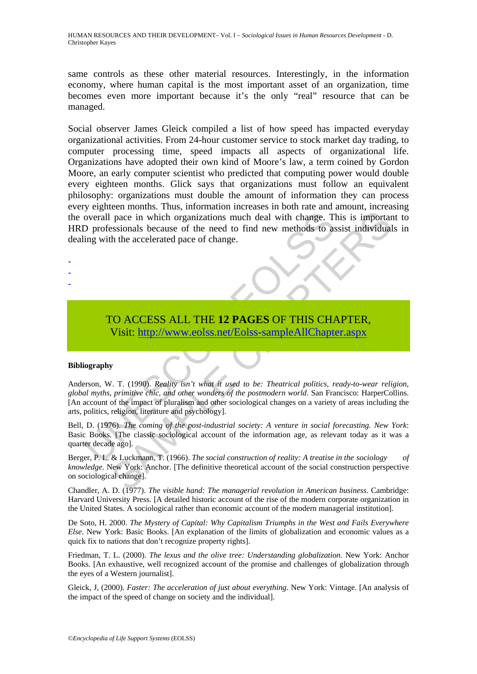HUMAN RESOURCES AND THEIR DEVELOPMENT– Vol. I – *Sociological Issues in Human Resources Development* - D. Christopher Kayes

same controls as these other material resources. Interestingly, in the information economy, where human capital is the most important asset of an organization, time becomes even more important because it's the only "real" resource that can be managed.

Social observer James Gleick compiled a list of how speed has impacted everyday organizational activities. From 24-hour customer service to stock market day trading, to computer processing time, speed impacts all aspects of organizational life. Organizations have adopted their own kind of Moore's law, a term coined by Gordon Moore, an early computer scientist who predicted that computing power would double every eighteen months. Glick says that organizations must follow an equivalent philosophy: organizations must double the amount of information they can process every eighteen months. Thus, information increases in both rate and amount, increasing the overall pace in which organizations much deal with change. This is important to HRD professionals because of the need to find new methods to assist individuals in dealing with the accelerated pace of change.

- -

-

## TO ACCESS ALL THE **12 PAGES** OF THIS CHAPTER, Visit: http://www.eolss.net/Eolss-sampleAllChapter.aspx

#### **Bibliography**

overall pace in which organizations much deal with change. T<br>
D professionals because of the need to find new methods to as<br>
ing with the accelerated pace of change.<br>
TO ACCESS ALL THE 12 PAGES OF THIS CHA<br>
Visit: http://w pace in which organizations much deal with change. This is important pace in which organizations much deal with change. This is important assisting because of the need to find new methods to assist individual the accelera Anderson, W. T. (1990). *Reality isn't what it used to be: Theatrical politics, ready-to-wear religion, global myths, primitive chic, and other wonders of the postmodern world*. San Francisco: HarperCollins. [An account of the impact of pluralism and other sociological changes on a variety of areas including the arts, politics, religion, literature and psychology].

Bell, D. (1976). *The coming of the post-industrial society: A venture in social forecasting. New York*: Basic Books. [The classic sociological account of the information age, as relevant today as it was a quarter decade ago].

Berger, P. L. & Luckmann, T. (1966). *The social construction of reality: A treatise in the sociology of knowledge*. New York: Anchor. [The definitive theoretical account of the social construction perspective on sociological change].

Chandler, A. D. (1977). *The visible hand: The managerial revolution in American business*. Cambridge: Harvard University Press. [A detailed historic account of the rise of the modern corporate organization in the United States. A sociological rather than economic account of the modern managerial institution].

De Soto, H. 2000. *The Mystery of Capital: Why Capitalism Triumphs in the West and Fails Everywhere Else*. New York: Basic Books. [An explanation of the limits of globalization and economic values as a quick fix to nations that don't recognize property rights].

Friedman, T. L. (2000). *The lexus and the olive tree: Understanding globalization*. New York: Anchor Books. [An exhaustive, well recognized account of the promise and challenges of globalization through the eyes of a Western journalist].

Gleick, J, (2000). *Faster: The acceleration of just about everything*. New York: Vintage. [An analysis of the impact of the speed of change on society and the individual].